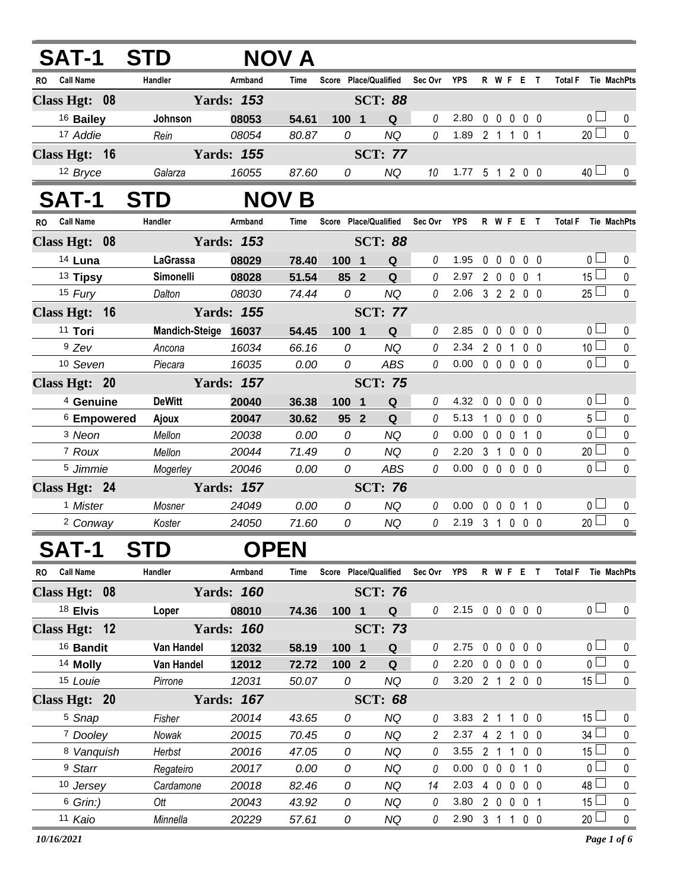| <b>SAT-1</b>                  | <b>STD</b>           |                   | <b>NOV A</b> |                       |                         |            |               |                            |             |                   |                   |                |                     |                    |
|-------------------------------|----------------------|-------------------|--------------|-----------------------|-------------------------|------------|---------------|----------------------------|-------------|-------------------|-------------------|----------------|---------------------|--------------------|
| <b>Call Name</b><br><b>RO</b> | Handler              | Armband           | Time         | Score Place/Qualified |                         |            | Sec Ovr YPS   |                            |             |                   | R W F E T         |                | Total F Tie MachPts |                    |
| Class Hgt: 08                 |                      | <b>Yards: 153</b> |              |                       | <b>SCT: 88</b>          |            |               |                            |             |                   |                   |                |                     |                    |
| <sup>16</sup> Bailey          | Johnson              | 08053             | 54.61        | 100 1                 |                         | Q          | 0             | 2.80                       | 0           | $\mathbf 0$       | $\mathbf 0$       | 0 <sub>0</sub> | 0 <sub>1</sub>      | 0                  |
| 17 Addie                      | Rein                 | 08054             | 80.87        | 0                     |                         | <b>NQ</b>  | 0             | 1.89 2 1 1                 |             |                   |                   | 0 <sub>1</sub> | $20$ $\Box$         | $\mathbf 0$        |
| Class Hgt: 16                 |                      | <b>Yards: 155</b> |              |                       | <b>SCT: 77</b>          |            |               |                            |             |                   |                   |                |                     |                    |
| 12 Bryce                      | Galarza              | 16055             | 87.60        | 0                     |                         | <b>NQ</b>  | 10            | $1.77$ 5 1 2 0 0           |             |                   |                   |                | $40$ $\Box$         | $\mathbf{0}$       |
| SAT-1                         | <b>STD</b>           | <b>NOV</b>        | Β            |                       |                         |            |               |                            |             |                   |                   |                |                     |                    |
| <b>Call Name</b><br><b>RO</b> | Handler              | Armband           | Time         | Score Place/Qualified |                         |            | Sec Ovr       | YPS                        |             |                   | R W F E T         |                | <b>Total F</b>      | Tie MachPts        |
| Class Hgt: 08                 |                      | <b>Yards: 153</b> |              |                       | <b>SCT: 88</b>          |            |               |                            |             |                   |                   |                |                     |                    |
| 14 Luna                       | <b>LaGrassa</b>      | 08029             | 78.40        | 100 1                 |                         | Q          | 0             | 1.95                       | $\mathbf 0$ | $\mathbf 0$       | $0\quad 0\quad 0$ |                | 0 <sub>1</sub>      | 0                  |
| <sup>13</sup> Tipsy           | Simonelli            | 08028             | 51.54        | 85 2                  |                         | Q          | 0             | 2.97                       |             | $2\quad0$         | $\mathbf 0$       | 0 <sub>1</sub> | 15 <sup>1</sup>     | $\pmb{0}$          |
| 15 Fury                       | Dalton               | 08030             | 74.44        | 0                     |                         | <b>NQ</b>  | 0             | 2.06 3 2 2 0 0             |             |                   |                   |                | $25 \Box$           | $\mathbf 0$        |
| Class Hgt: 16                 |                      | <b>Yards: 155</b> |              |                       | <b>SCT: 77</b>          |            |               |                            |             |                   |                   |                |                     |                    |
| 11 Tori                       | Mandich-Steige 16037 |                   | 54.45        | 100 1                 |                         | Q          | 0             | 2.85                       | $\mathbf 0$ | $\mathbf 0$       | $0\quad 0\quad 0$ |                | 0 <sub>0</sub>      | 0                  |
| $9$ Zev                       | Ancona               | 16034             | 66.16        | 0                     |                         | <b>NQ</b>  | 0             | 2.34                       | 2 0 1       |                   |                   | 0 <sub>0</sub> | 10 <sup>1</sup>     | $\pmb{0}$          |
| 10 Seven                      | Piecara              | 16035             | 0.00         | 0                     |                         | ABS        | 0             | $0.00 \t0 \t0 \t0 \t0 \t0$ |             |                   |                   |                | 0 <sub>1</sub>      | $\pmb{0}$          |
| Class Hgt: 20                 |                      | <b>Yards: 157</b> |              |                       | <b>SCT: 75</b>          |            |               |                            |             |                   |                   |                |                     |                    |
| <sup>4</sup> Genuine          | <b>DeWitt</b>        | 20040             | 36.38        | 100                   | $\overline{\mathbf{1}}$ | Q          | 0             | 4.32                       | $\mathbf 0$ | $\mathbf{0}$      | $\mathbf 0$       | 0 <sub>0</sub> | 0 <sub>1</sub>      | 0                  |
| <sup>6</sup> Empowered        | Ajoux                | 20047             | 30.62        | 95 2                  |                         | Q          | 0             | 5.13                       |             | $1\quad 0$        | $\mathbf 0$       | $0\quad 0$     | 5 <sub>1</sub>      | 0                  |
| 3 Neon                        | Mellon               | 20038             | 0.00         | 0                     |                         | <b>NQ</b>  | 0             | 0.00                       |             | $0\quad 0$        | $\mathbf 0$       | 10             | 0 <sub>l</sub>      | $\pmb{0}$          |
| <sup>7</sup> Roux             | Mellon               | 20044             | 71.49        | 0                     |                         | <b>NQ</b>  | 0             | 2.20                       |             | 3 <sub>1</sub>    | $\mathbf 0$       | 0 <sub>0</sub> | 20 <sup>1</sup>     | $\pmb{0}$          |
| 5 Jimmie                      | Mogerley             | 20046             | 0.00         | 0                     |                         | <b>ABS</b> | 0             | $0.00 \t0 \t0 \t0 \t0 \t0$ |             |                   |                   |                | 0 <sub>l</sub>      | $\mathbf 0$        |
| Class Hgt: 24                 |                      | <b>Yards: 157</b> |              |                       | <b>SCT: 76</b>          |            |               |                            |             |                   |                   |                |                     |                    |
| <sup>1</sup> Mister           | Mosner               | 24049             | 0.00         | 0                     |                         | <b>NQ</b>  | 0             | 0.00                       | $\mathbf 0$ | $\mathbf 0$       | $0 1 0$           |                | $\overline{0}$      | 0                  |
| <sup>2</sup> Conway           | Koster               | 24050             | 71.60        | 0                     |                         | <b>NQ</b>  | 0             | 2.19 3 1 0 0 0             |             |                   |                   |                | $20$ $\Box$         | $\mathbf 0$        |
| <b>SAT-1</b>                  | <b>STD</b>           |                   | <b>OPEN</b>  |                       |                         |            |               |                            |             |                   |                   |                |                     |                    |
| <b>Call Name</b><br>RO.       | Handler              | Armband           | Time         | Score Place/Qualified |                         |            | Sec Ovr       | <b>YPS</b>                 |             |                   | R W F E T         |                | <b>Total F</b>      | <b>Tie MachPts</b> |
| Class Hgt: 08                 |                      | <b>Yards: 160</b> |              |                       | <b>SCT: 76</b>          |            |               |                            |             |                   |                   |                |                     |                    |
| 18 Elvis                      | Loper                | 08010             | 74.36        | 100 1                 |                         | Q          | 0             | 2.15 0 0 0 0 0             |             |                   |                   |                | 0 <sub>0</sub>      | $\mathbf 0$        |
| Class Hgt: 12                 |                      | <b>Yards: 160</b> |              |                       | <b>SCT: 73</b>          |            |               |                            |             |                   |                   |                |                     |                    |
| <sup>16</sup> Bandit          | Van Handel           | 12032             | 58.19        | 100 1                 |                         | Q          | 0             | 2.75                       |             |                   | 00000             |                | 0 <sup>1</sup>      | 0                  |
| <sup>14</sup> Molly           | Van Handel           | 12012             | 72.72        | $1002$                |                         | Q          | 0             | 2.20                       |             |                   | 00000             |                | $\overline{0}$      | $\pmb{0}$          |
| 15 Louie                      | Pirrone              | 12031             | 50.07        | 0                     |                         | <b>NQ</b>  | 0             | 3.20 2 1 2 0 0             |             |                   |                   |                | 15 <sup>1</sup>     | $\pmb{0}$          |
| Class Hgt: 20                 |                      | <b>Yards: 167</b> |              |                       | <b>SCT: 68</b>          |            |               |                            |             |                   |                   |                |                     |                    |
| <sup>5</sup> Snap             | Fisher               | 20014             | 43.65        | 0                     |                         | NQ         | 0             | 3.83                       |             | 2 <sub>1</sub>    | $\overline{1}$    | $0\quad 0$     | 15 <sup>1</sup>     | 0                  |
| 7 Dooley                      | Nowak                | 20015             | 70.45        | 0                     |                         | <b>NQ</b>  | 2             | 2.37                       |             | 4 2               | 1                 | 0 <sub>0</sub> | 34 l                | 0                  |
| 8 Vanquish                    | Herbst               | 20016             | 47.05        | 0                     |                         | <b>NQ</b>  | 0             | 3.55                       |             |                   | 2 1 1             | $0\quad 0$     | $15$ $\Box$         | 0                  |
| <sup>9</sup> Starr            | Regateiro            | 20017             | 0.00         | 0                     |                         | <b>NQ</b>  | 0             | 0.00                       |             | $0\quad 0\quad 0$ |                   | $1\quad0$      | 0 l                 | 0                  |
| 10 Jersey                     | Cardamone            | 20018             | 82.46        | 0                     |                         | NQ         | 14            | 2.03                       |             |                   | 4 0 0 0 0         |                | 48 <sup>1</sup>     | 0                  |
| $6$ Grin:)                    | Ott                  | 20043             | 43.92        | 0                     |                         | <b>NQ</b>  | 0             | 3.80                       |             |                   | 2 0 0 0 1         |                | 15 <sup>1</sup>     | 0                  |
| 11 Kaio                       | Minnella             | 20229             | 57.61        | 0                     |                         | NQ         | $\mathcal{O}$ | 2.90 3 1 1 0 0             |             |                   |                   |                | $20 -$              | $\pmb{0}$          |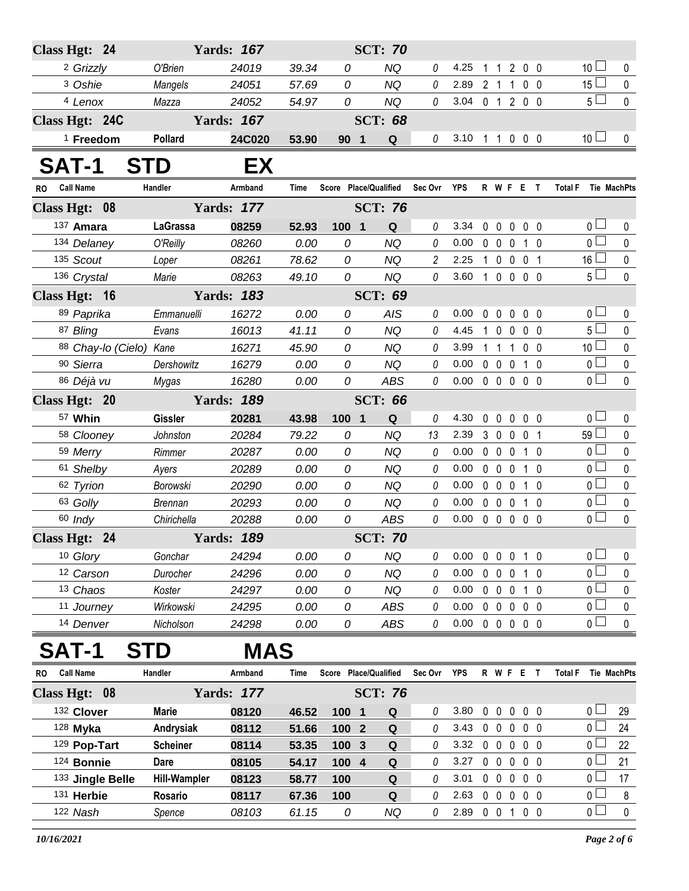|              | Class Hgt: 24           |                     | <b>Yards: 167</b> |             |                       | <b>SCT: 70</b> |                |            |                   |                   |                |                |                      |             |
|--------------|-------------------------|---------------------|-------------------|-------------|-----------------------|----------------|----------------|------------|-------------------|-------------------|----------------|----------------|----------------------|-------------|
|              | <sup>2</sup> Grizzly    | O'Brien             | 24019             | 39.34       | 0                     | <b>NQ</b>      | 0              | 4.25       | 1                 | 1                 | 200            |                | 10 <sup>1</sup>      | 0           |
|              | 3 Oshie                 | Mangels             | 24051             | 57.69       | 0                     | <b>NQ</b>      | 0              | 2.89       | 2 <sub>1</sub>    |                   | 1              | 0 <sub>0</sub> | $15\Box$             | $\pmb{0}$   |
|              | <sup>4</sup> Lenox      | Mazza               | 24052             | 54.97       | 0                     | <b>NQ</b>      | 0              | 3.04       |                   |                   | 0 1 2 0 0      |                | $5\Box$              | $\mathbf 0$ |
|              | Class Hgt: 24C          |                     | <b>Yards: 167</b> |             |                       | <b>SCT: 68</b> |                |            |                   |                   |                |                |                      |             |
|              | $1$ Freedom             | Pollard             | 24C020            | 53.90       | 90 <sub>1</sub>       | Q              | 0              | 3.10       |                   |                   | 1 1 0 0 0      |                | 10 <sup>1</sup>      | $\mathbf 0$ |
| <b>SAT-1</b> |                         | <b>STD</b>          | EX                |             |                       |                |                |            |                   |                   |                |                |                      |             |
| <b>RO</b>    | <b>Call Name</b>        | Handler             | Armband           | Time        | Score Place/Qualified |                | Sec Ovr        | YPS        |                   |                   | R W F E T      |                | Total F Tie MachPts  |             |
|              | Class Hgt: 08           |                     | <b>Yards: 177</b> |             |                       | <b>SCT: 76</b> |                |            |                   |                   |                |                |                      |             |
|              | 137 Amara               | <b>LaGrassa</b>     | 08259             | 52.93       | 100 1                 | Q              | 0              | 3.34       | 0                 | $\mathbf 0$       | $\mathbf 0$    | 0 <sub>0</sub> | 0 L                  | 0           |
|              | 134 Delaney             | O'Reilly            | 08260             | 0.00        | 0                     | <b>NQ</b>      | 0              | 0.00       | 0                 | $\mathbf 0$       | $\mathbf 0$    | $1\quad0$      | $\overline{0}$       | $\pmb{0}$   |
|              | 135 Scout               | Loper               | 08261             | 78.62       | 0                     | <b>NQ</b>      | $\overline{2}$ | 2.25       | $\mathbf{1}$      | $0\quad 0$        |                | 0 <sub>1</sub> | ×<br>16 <sup>L</sup> | $\pmb{0}$   |
|              | 136 Crystal             | Marie               | 08263             | 49.10       | 0                     | <b>NQ</b>      | 0              | 3.60       |                   |                   | 1 0 0 0 0      |                | $5\Box$              | $\mathbf 0$ |
|              | Class Hgt: 16           |                     | <b>Yards: 183</b> |             |                       | <b>SCT: 69</b> |                |            |                   |                   |                |                |                      |             |
|              | 89 Paprika              | Emmanuelli          | 16272             | 0.00        | 0                     | AIS            | 0              | 0.00       | 0                 | $\mathbf 0$       | 0              | 0 <sub>0</sub> | 0 l                  | 0           |
|              | 87 Bling                | Evans               | 16013             | 41.11       | 0                     | <b>NQ</b>      | 0              | 4.45       | $\mathbf 1$       | $0\quad 0$        |                | 0 <sub>0</sub> | $5\Box$              | $\mathbf 0$ |
|              | 88 Chay-lo (Cielo) Kane |                     | 16271             | 45.90       | 0                     | <b>NQ</b>      | 0              | 3.99       | $1\quad1$         |                   | $\overline{1}$ | 0 <sub>0</sub> | $10$ $\Box$          | $\pmb{0}$   |
|              | 90 Sierra               | Dershowitz          | 16279             | 0.00        | 0                     | <b>NQ</b>      | 0              | 0.00       |                   | $0\quad 0\quad 0$ |                | $1\quad0$      | $\overline{0}$       | $\pmb{0}$   |
|              | 86 Déjà vu              | Mygas               | 16280             | 0.00        | 0                     | <b>ABS</b>     | 0              | 0.00       |                   | $0\quad 0\quad 0$ |                | 0 <sub>0</sub> | $\overline{0}$       | $\mathbf 0$ |
|              | Class Hgt: 20           |                     | <b>Yards: 189</b> |             |                       | <b>SCT: 66</b> |                |            |                   |                   |                |                |                      |             |
|              | 57 Whin                 | <b>Gissler</b>      | 20281             | 43.98       | $100$ 1               | Q              | 0              | 4.30       | $\mathbf 0$       | $\mathbf 0$       | $\mathbf 0$    | 0 <sub>0</sub> | 0 <sub>l</sub>       | 0           |
|              | 58 Clooney              | Johnston            | 20284             | 79.22       | 0                     | <b>NQ</b>      | 13             | 2.39       | 3 <sub>0</sub>    |                   | $\mathbf 0$    | 0 <sub>1</sub> | 59 <sup>1</sup>      | 0           |
|              | 59 Merry                | Rimmer              | 20287             | 0.00        | 0                     | <b>NQ</b>      | 0              | 0.00       |                   | $0\quad 0\quad 0$ |                | $1\quad0$      | $\overline{0}$       | $\mathbf 0$ |
|              | 61 Shelby               | Ayers               | 20289             | 0.00        | 0                     | NQ             | 0              | 0.00       | $0\quad 0$        |                   | $\overline{0}$ | $1\quad0$      | 0 I                  | 0           |
|              | 62 Tyrion               | Borowski            | 20290             | 0.00        | 0                     | <b>NQ</b>      | 0              | 0.00       |                   | $0\quad 0\quad 0$ |                | $1\quad0$      | $\overline{0}$       | $\pmb{0}$   |
|              | 63 Golly                | <b>Brennan</b>      | 20293             | 0.00        | 0                     | <b>NQ</b>      | 0              | 0.00       | $0\quad 0$        |                   | $\mathbf 0$    | $1\quad0$      | 0 <sup>1</sup>       | $\pmb{0}$   |
|              | 60 Indy                 | Chirichella         | 20288             | 0.00        | 0                     | <b>ABS</b>     | 0              | 0.00       |                   | $0\quad 0\quad 0$ |                | 0 <sub>0</sub> | $\overline{0}$       | $\mathbf 0$ |
|              | Class Hgt: 24           |                     | <b>Yards: 189</b> |             |                       | <b>SCT: 70</b> |                |            |                   |                   |                |                |                      |             |
|              | 10 Glory                | Gonchar             | 24294             | 0.00        | 0                     | <b>NQ</b>      | 0              | 0.00       |                   |                   | 0 0 0 1 0      |                | οL                   | 0           |
|              | 12 Carson               | Durocher            | 24296             | 0.00        | 0                     | <b>NQ</b>      | 0              | 0.00       |                   | $0\quad 0\quad 0$ |                | $1\quad0$      | $\overline{0}$       | $\pmb{0}$   |
|              | 13 Chaos                | Koster              | 24297             | 0.00        | 0                     | <b>NQ</b>      | 0              | 0.00       |                   | $0\quad 0\quad 0$ |                | $1\quad0$      | 0 l                  | 0           |
|              | 11 Journey              | Wirkowski           | 24295             | 0.00        | 0                     | <b>ABS</b>     | 0              | 0.00       |                   | $0\quad 0\quad 0$ |                | $0\quad 0$     | $\overline{0}$       | $\pmb{0}$   |
|              | 14 Denver               | Nicholson           | 24298             | 0.00        | 0                     | ABS            | 0              | 0.00       | $0\quad 0\quad 0$ |                   |                | 0 <sub>0</sub> | $\overline{0}$       | $\pmb{0}$   |
|              | SAT-1                   | <b>STD</b>          | <b>MAS</b>        |             |                       |                |                |            |                   |                   |                |                |                      |             |
| RO           | <b>Call Name</b>        | Handler             | Armband           | <b>Time</b> | Score Place/Qualified |                | Sec Ovr        | <b>YPS</b> |                   |                   | R W F E        | $\mathbf{T}$   | <b>Total F</b>       | Tie MachPts |
|              | Class Hgt: 08           |                     | <b>Yards: 177</b> |             |                       | <b>SCT: 76</b> |                |            |                   |                   |                |                |                      |             |
|              | 132 Clover              | <b>Marie</b>        | 08120             | 46.52       | 100 1                 | Q              | 0              | 3.80       |                   | $0\quad 0\quad 0$ |                | $0\quad 0$     | 0 l                  | 29          |
|              | $128$ Myka              | Andrysiak           | 08112             | 51.66       | 100 <sub>2</sub>      | ${\bf Q}$      | 0              | 3.43       |                   | $0\quad 0\quad 0$ |                | 0 <sub>0</sub> | 0 <sub>0</sub>       | 24          |
|              | 129 Pop-Tart            | <b>Scheiner</b>     | 08114             | 53.35       | 100<br>$\mathbf{3}$   | ${\bf Q}$      | 0              | 3.32       |                   | $0\quad 0\quad 0$ |                | $0\quad 0$     | 0 l                  | 22          |
|              | 124 Bonnie              | Dare                | 08105             | 54.17       | 100 4                 | Q              | 0              | 3.27       |                   | $0\quad 0\quad 0$ |                | $0\quad 0$     | 0 <sub>0</sub>       | 21          |
|              | 133 Jingle Belle        | <b>Hill-Wampler</b> | 08123             | 58.77       | 100                   | Q              | 0              | 3.01       | $0\quad 0$        |                   | $\mathbf 0$    | $0\quad 0$     | 0 l                  | 17          |
|              | 131 Herbie              | Rosario             | 08117             | 67.36       | 100                   | Q              | 0              | 2.63       |                   | $0\quad 0\quad 0$ |                | 0 <sub>0</sub> | 0 L                  | $\,8\,$     |
|              | 122 Nash                | Spence              | 08103             | 61.15       | 0                     | <b>NQ</b>      | 0              | 2.89       |                   |                   | 0 0 1 0 0      |                | $\overline{0}$       | $\pmb{0}$   |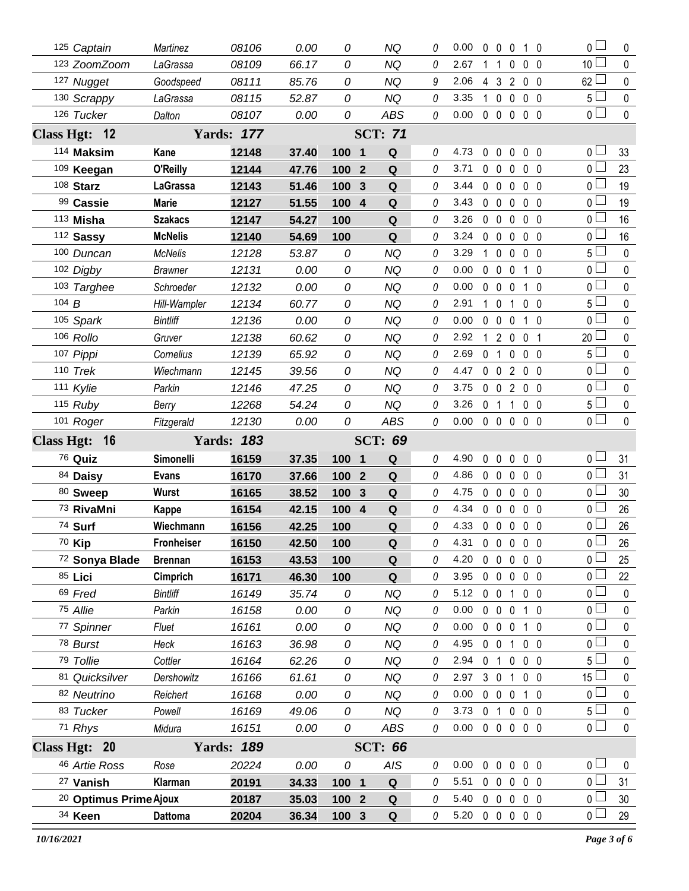| 125 Captain            | Martinez        | 08106             | 0.00  | 0                     | <b>NQ</b>      | 0        | 0.00 | $\mathbf 0$    | $\mathbf{0}$      | 0              | 10             | 0 l                              | 0            |
|------------------------|-----------------|-------------------|-------|-----------------------|----------------|----------|------|----------------|-------------------|----------------|----------------|----------------------------------|--------------|
| 123 ZoomZoom           | LaGrassa        | 08109             | 66.17 | 0                     | <b>NQ</b>      | 0        | 2.67 |                | -1                | 0              | 0 <sub>0</sub> | 10 <sup>2</sup>                  | 0            |
| 127 Nugget             | Goodspeed       | 08111             | 85.76 | 0                     | NQ             | 9        | 2.06 | 4              | 3                 | $\overline{2}$ | $0\quad 0$     | 62                               | 0            |
| 130 Scrappy            | LaGrassa        | 08115             | 52.87 | 0                     | <b>NQ</b>      | 0        | 3.35 | 1.             | $\mathbf 0$       | $\mathbf 0$    | $0\quad 0$     | 5 <sup>1</sup>                   | $\pmb{0}$    |
| 126 Tucker             | Dalton          | 08107             | 0.00  | 0                     | <b>ABS</b>     | 0        | 0.00 |                |                   |                | 00000          | $\overline{0}$                   | $\mathbf 0$  |
| Class Hgt: 12          |                 | <b>Yards: 177</b> |       |                       | <b>SCT: 71</b> |          |      |                |                   |                |                |                                  |              |
| 114 Maksim             | Kane            | 12148             | 37.40 | 100 1                 | Q              | 0        | 4.73 | 0              | $\mathbf 0$       | $\mathbf 0$    | 0 <sub>0</sub> | 0 <sub>0</sub>                   | 33           |
| 109 Keegan             | O'Reilly        | 12144             | 47.76 | 100<br>$\overline{2}$ | Q              | 0        | 3.71 | $0\quad 0$     |                   | $\mathbf{0}$   | 0 <sub>0</sub> | 0 <sub>1</sub>                   | 23           |
| 108 Starz              | <b>LaGrassa</b> | 12143             | 51.46 | 100<br>3              | Q              | $\theta$ | 3.44 | $0\quad 0$     |                   | $\mathbf 0$    | $0\quad 0$     | 0 <sub>1</sub>                   | 19           |
| 99 Cassie              | <b>Marie</b>    | 12127             | 51.55 | 100<br>$\overline{4}$ | Q              | 0        | 3.43 | $0\quad 0$     |                   | $\mathbf 0$    | $0\quad 0$     | 0 l                              | 19           |
| 113 Misha              | <b>Szakacs</b>  | 12147             | 54.27 | 100                   | Q              | 0        | 3.26 |                | $0\quad 0\quad 0$ |                | 0 <sub>0</sub> | 0 l                              | 16           |
| 112 Sassy              | <b>McNelis</b>  | 12140             | 54.69 | 100                   | Q              | 0        | 3.24 | $\mathbf{0}$   | $\mathbf{0}$      | $\mathbf{0}$   | 0 <sub>0</sub> | 0 l                              | 16           |
| 100 Duncan             | <b>McNelis</b>  | 12128             | 53.87 | 0                     | <b>NQ</b>      | 0        | 3.29 | 1              | $\mathbf 0$       | $\mathbf 0$    | $0\quad 0$     | $5 -$                            | $\mathbf 0$  |
| 102 Digby              | <b>Brawner</b>  | 12131             | 0.00  | 0                     | <b>NQ</b>      | 0        | 0.00 | $0\quad 0$     |                   | $\mathbf 0$    | 10             | 0 <sub>0</sub>                   | 0            |
| 103 Targhee            | Schroeder       | 12132             | 0.00  | 0                     | <b>NQ</b>      | 0        | 0.00 | $\mathbf 0$    | $\mathbf 0$       | 0              | 1 0            | 0 <sub>0</sub>                   | 0            |
| 104 $B$                | Hill-Wampler    | 12134             | 60.77 | 0                     | <b>NQ</b>      | 0        | 2.91 | 1 0            |                   | 1              | 0 <sub>0</sub> | $5+$                             | 0            |
| 105 Spark              | <b>Bintliff</b> | 12136             | 0.00  | 0                     | <b>NQ</b>      | 0        | 0.00 | $\mathbf 0$    | $\mathbf 0$       | $\mathbf 0$    | $1\quad 0$     | 0 <sub>l</sub>                   | 0            |
| 106 Rollo              | Gruver          | 12138             | 60.62 | 0                     | <b>NQ</b>      | 0        | 2.92 | $\mathbf{1}$   | $2\quad0$         |                | 0 <sub>1</sub> | 20 <sup>1</sup>                  | 0            |
| 107 Pippi              | Cornelius       | 12139             | 65.92 | 0                     | <b>NQ</b>      | 0        | 2.69 | 0              | $\mathbf{1}$      | 0              | 0 <sub>0</sub> | 5 l                              | 0            |
| 110 Trek               | Wiechmann       | 12145             | 39.56 | 0                     | NQ             | 0        | 4.47 | $0\quad 0$     |                   | $\overline{2}$ | $0\quad 0$     | 0 <sub>1</sub>                   | 0            |
| 111 Kylie              | Parkin          | 12146             | 47.25 | 0                     | <b>NQ</b>      | 0        | 3.75 | $\mathbf 0$    | $\mathbf 0$       |                | 200            | 0 <sub>1</sub>                   | $\mathbf{0}$ |
| 115 Ruby               | Berry           | 12268             | 54.24 | 0                     | <b>NQ</b>      | 0        | 3.26 | 0 <sub>1</sub> |                   | 1              | 0 <sub>0</sub> | 5 <sup>L</sup>                   | 0            |
| 101 Roger              | Fitzgerald      | 12130             | 0.00  | 0                     | ABS            | 0        | 0.00 |                | $0\quad 0\quad 0$ |                | 0 <sub>0</sub> | 0 <sup>1</sup>                   | $\Omega$     |
|                        |                 |                   |       |                       |                |          |      |                |                   |                |                |                                  |              |
| Class Hgt: 16          |                 | <b>Yards: 183</b> |       |                       | <b>SCT: 69</b> |          |      |                |                   |                |                |                                  |              |
| 76 Quiz                | Simonelli       | 16159             | 37.35 | 100 1                 | Q              | 0        | 4.90 | 0              | $\mathbf 0$       | $\mathbf 0$    | 0 <sub>0</sub> | 0 <sub>0</sub>                   | 31           |
| 84 Daisy               | <b>Evans</b>    | 16170             | 37.66 | 100 <sub>2</sub>      | Q              | 0        | 4.86 | $0\quad 0$     |                   | $\mathbf 0$    | 0 <sub>0</sub> | 0 <sub>0</sub>                   | 31           |
| 80 Sweep               | <b>Wurst</b>    | 16165             | 38.52 | 100 3                 | Q              | 0        | 4.75 | $0\quad 0$     |                   | $\mathbf{0}$   | 0 <sub>0</sub> | 0 <sub>0</sub>                   | 30           |
| 73 RivaMni             | Kappe           | 16154             | 42.15 | 100 4                 | Q              | $\theta$ | 4.34 | $\mathbf 0$    | $\mathbf 0$       | $\mathbf 0$    | 0 <sub>0</sub> | 0 <sup>1</sup>                   | 26           |
| 74 Surf                | Wiechmann       | 16156             | 42.25 | 100                   | $\mathbf Q$    | 0        | 4.33 |                | $0\quad 0\quad 0$ |                | 0 <sub>0</sub> | 0                                | 26           |
| 70 Kip                 | Fronheiser      | 16150             | 42.50 | 100                   | Q              | 0        | 4.31 | 00000          |                   |                |                | 0 <sub>1</sub>                   | 26           |
| 72 Sonya Blade         | <b>Brennan</b>  | 16153             | 43.53 | 100                   | Q              | 0        | 4.20 |                | $0\quad 0\quad 0$ |                | 0 <sub>0</sub> | $\overline{0}$                   | 25           |
| 85 Lici                | Cimprich        | 16171             | 46.30 | 100                   | Q              | 0        | 3.95 |                | $0\quad 0\quad 0$ |                | 0 <sub>0</sub> | 0 L                              | 22           |
| 69 Fred                | <b>Bintliff</b> | 16149             | 35.74 | 0                     | <b>NQ</b>      | 0        | 5.12 | $0\quad 0$     |                   | $\mathbf{1}$   | 0 <sub>0</sub> | 0 <sub>1</sub>                   | 0            |
| 75 Allie               | Parkin          | 16158             | 0.00  | 0                     | <b>NQ</b>      | 0        | 0.00 | $0\quad 0$     |                   | $\mathbf 0$    | $1\quad0$      | 0 <sup>1</sup>                   | $\mathbf{0}$ |
| 77 Spinner             | Fluet           | 16161             | 0.00  | 0                     | <b>NQ</b>      | 0        | 0.00 | $0\quad 0$     |                   | $\mathbf 0$    | 1 0            | 0 <sub>1</sub>                   | 0            |
| 78 Burst               | Heck            | 16163             | 36.98 | 0                     | <b>NQ</b>      | 0        | 4.95 | $0\quad 0$     |                   | 1              | 0 <sub>0</sub> | 0 l                              | 0            |
| 79 Tollie              | Cottler         | 16164             | 62.26 | 0                     | <b>NQ</b>      | 0        | 2.94 | 0              | $\mathbf{1}$      | $\mathbf 0$    | 0 <sub>0</sub> | 5 <sub>1</sub>                   | 0            |
| 81 Quicksilver         | Dershowitz      | 16166             | 61.61 | 0                     | <b>NQ</b>      | 0        | 2.97 | $3\quad0$      |                   | 1              | $0\quad 0$     | 15 $\Box$                        | 0            |
| 82 Neutrino            | Reichert        | 16168             | 0.00  | 0                     | <b>NQ</b>      | 0        | 0.00 | $0\quad 0$     |                   | $\mathbf 0$    | $1\quad0$      | $\overline{0}$                   | 0            |
| 83 Tucker              | Powell          | 16169             | 49.06 | 0                     | <b>NQ</b>      | 0        | 3.73 | 0 <sub>1</sub> |                   | $\pmb{0}$      | 0 <sub>0</sub> | 5 <sub>1</sub>                   | 0            |
| 71 Rhys                | Midura          | 16151             | 0.00  | 0                     | ABS            | 0        | 0.00 |                | $0\quad 0\quad 0$ |                | 0 <sub>0</sub> | $\overline{0}$                   | 0            |
| Class Hgt: 20          |                 | <b>Yards: 189</b> |       |                       | <b>SCT: 66</b> |          |      |                |                   |                |                |                                  |              |
| 46 Artie Ross          | Rose            | 20224             | 0.00  | 0                     | <b>AIS</b>     | 0        | 0.00 | $\mathbf 0$    | $\mathbf 0$       | $\pmb{0}$      | 0 <sub>0</sub> | 0 <sub>0</sub>                   | $\mathbf{0}$ |
| 27 Vanish              | Klarman         | 20191             | 34.33 | $100 \quad 1$         | Q              | 0        | 5.51 | $0\quad 0$     |                   | $\mathbf 0$    | 0 <sub>0</sub> | 0 <sup>1</sup>                   | 31           |
| 20 Optimus Prime Ajoux |                 | 20187             | 35.03 | $1002$                | ${\bf Q}$      | 0        | 5.40 |                | $0\quad 0\quad 0$ |                | 0 <sub>0</sub> | 0 <sup>1</sup><br>0 <sub>0</sub> | 30<br>29     |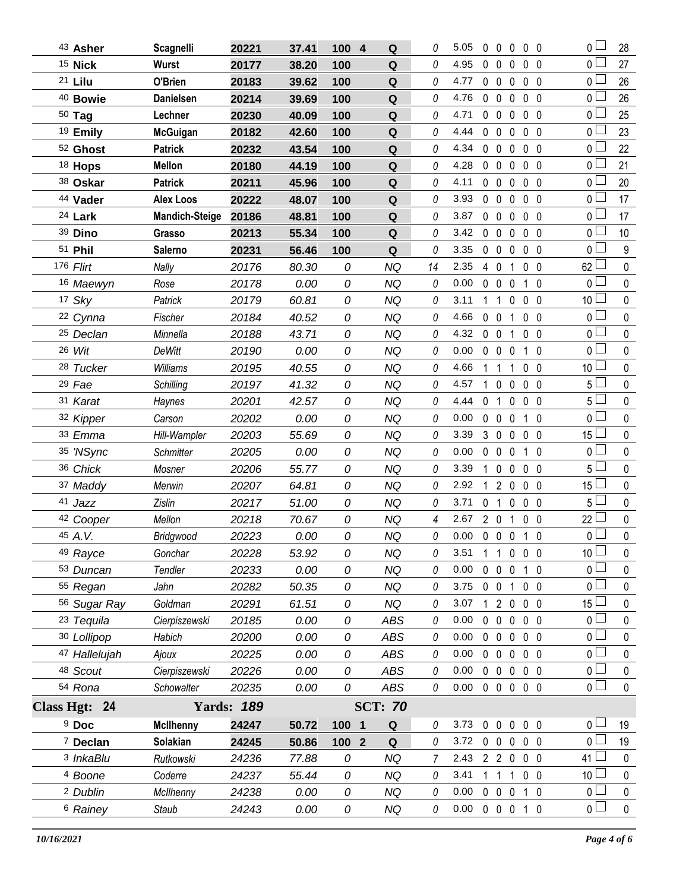|                    | 43 Asher             | <b>Scagnelli</b>      | 20221             | 37.41 | 100 4 | Q              | 0  | 5.05 |                | 00000                         |   |                | $\overline{0}$  | 28              |
|--------------------|----------------------|-----------------------|-------------------|-------|-------|----------------|----|------|----------------|-------------------------------|---|----------------|-----------------|-----------------|
| <sup>15</sup> Nick |                      | <b>Wurst</b>          | 20177             | 38.20 | 100   | Q              | 0  | 4.95 | $0\quad 0$     | 0                             |   | 0 <sub>0</sub> | 0 <sub>l</sub>  | 27              |
| 21 Lilu            |                      | O'Brien               | 20183             | 39.62 | 100   | Q              | 0  | 4.77 | $0\quad 0$     | $\mathbf 0$                   |   | 0 <sub>0</sub> | 0 L             | 26              |
|                    | <sup>40</sup> Bowie  | <b>Danielsen</b>      | 20214             | 39.69 | 100   | Q              | 0  | 4.76 | $0\quad 0$     | $\mathbf 0$                   |   | 0 <sub>0</sub> | 0 L             | 26              |
| $50$ Tag           |                      | Lechner               | 20230             | 40.09 | 100   | Q              | 0  | 4.71 | $0\quad 0$     | $\mathbf 0$                   |   | 0 <sub>0</sub> | 0 l             | 25              |
|                    | 19 Emily             | <b>McGuigan</b>       | 20182             | 42.60 | 100   | Q              | 0  | 4.44 | $0\quad 0$     | $\mathbf 0$                   |   | $0\quad 0$     | 0 L             | 23              |
|                    | 52 Ghost             | <b>Patrick</b>        | 20232             | 43.54 | 100   | Q              | 0  | 4.34 | $0\quad 0$     | $\mathbf 0$                   |   | 0 <sub>0</sub> | 0 L             | 22              |
|                    | 18 Hops              | <b>Mellon</b>         | 20180             | 44.19 | 100   | Q              | 0  | 4.28 | $0\quad 0$     | $\mathbf 0$                   |   | $0\quad 0$     | 0 <sup>1</sup>  | 21              |
|                    | 38 Oskar             | <b>Patrick</b>        | 20211             | 45.96 | 100   | Q              | 0  | 4.11 | $0\quad 0$     | $\mathbf 0$                   |   | 0 <sub>0</sub> | 0 <sub>0</sub>  | 20              |
|                    | 44 Vader             | <b>Alex Loos</b>      | 20222             | 48.07 | 100   | Q              | 0  | 3.93 | $0\quad 0$     | $\mathbf 0$                   |   | $0\quad 0$     | 0 <sub>1</sub>  | 17              |
| 24 Lark            |                      | <b>Mandich-Steige</b> | 20186             | 48.81 | 100   | Q              | 0  | 3.87 | $0\quad 0$     | $\mathbf 0$                   |   | 0 <sub>0</sub> | 0 <sub>0</sub>  | 17              |
| 39 Dino            |                      | Grasso                | 20213             | 55.34 | 100   | Q              | 0  | 3.42 | $0\quad 0$     | $\mathbf 0$                   |   | $0\quad 0$     | 0 <sub>0</sub>  | 10 <sup>1</sup> |
| 51 Phil            |                      | <b>Salerno</b>        | 20231             | 56.46 | 100   | Q              | 0  | 3.35 | $0\quad 0$     | $\mathbf 0$                   |   | 0 <sub>0</sub> | 0 <sub>0</sub>  | 9               |
| 176 Flirt          |                      | Nally                 | 20176             | 80.30 | 0     | NQ             | 14 | 2.35 | 4 0            |                               | 1 | 0 <sub>0</sub> | $62 -$          | $\pmb{0}$       |
|                    | 16 Maewyn            | Rose                  | 20178             | 0.00  | 0     | NQ             | 0  | 0.00 | $0\quad 0$     | 0                             |   | 10             | 0 L             | $\mathbf 0$     |
| 17 Sky             |                      | Patrick               | 20179             | 60.81 | 0     | <b>NQ</b>      | 0  | 3.11 | 1 1            | $\mathbf 0$                   |   | $0\quad 0$     | 10 $\Box$       | $\pmb{0}$       |
|                    | 22 Cynna             | Fischer               | 20184             | 40.52 | 0     | NQ             | 0  | 4.66 | $0\quad 0$     |                               | 1 | 0 <sub>0</sub> | 0 <sub>0</sub>  | $\mathbf 0$     |
|                    | <sup>25</sup> Declan | Minnella              | 20188             | 43.71 | 0     | <b>NQ</b>      | 0  | 4.32 | $0\quad 0$     |                               | 1 | $0\quad 0$     | 0 <sup>1</sup>  | $\pmb{0}$       |
| 26 Wit             |                      | <b>DeWitt</b>         | 20190             | 0.00  | 0     | NQ             | 0  | 0.00 |                | $0\quad 0\quad 0$             |   | 1 0            | 0 <sub>0</sub>  | $\mathbf 0$     |
|                    | 28 Tucker            | Williams              | 20195             | 40.55 | 0     | <b>NQ</b>      | 0  | 4.66 | 1.             | $\mathbf{1}$                  | 1 | 0 <sub>0</sub> | 10 <sup>1</sup> | $\pmb{0}$       |
| 29 Fae             |                      | Schilling             | 20197             | 41.32 | 0     | NQ             | 0  | 4.57 | 1 0            | $\mathbf 0$                   |   | $0\quad 0$     | 5 L             | $\mathbf 0$     |
| 31 Karat           |                      | Haynes                | 20201             | 42.57 | 0     | <b>NQ</b>      | 0  | 4.44 | 0 <sub>1</sub> | $\mathbf 0$                   |   | $0\quad 0$     | 5 <sup>L</sup>  | $\pmb{0}$       |
|                    | 32 Kipper            | Carson                | 20202             | 0.00  | 0     | <b>NQ</b>      | 0  | 0.00 | 0 <sub>0</sub> | $\mathbf 0$                   |   | $1\quad0$      | 0 L             | 0               |
|                    | 33 Emma              | Hill-Wampler          | 20203             | 55.69 | 0     | <b>NQ</b>      | 0  | 3.39 |                | 3 0 0                         |   | 0 <sub>0</sub> | 15 $\Box$       | $\pmb{0}$       |
|                    | 35 'NSync            | Schmitter             | 20205             | 0.00  | 0     | ΝQ             | 0  | 0.00 | $0\quad 0$     | 0                             |   | $1\quad0$      | 0 L             | 0               |
|                    | 36 Chick             | Mosner                | 20206             | 55.77 | 0     | <b>NQ</b>      | 0  | 3.39 | $\mathbf 1$    | $\mathbf 0$<br>0              |   | $0\quad 0$     | 5 <sub>1</sub>  | $\pmb{0}$       |
|                    | 37 Maddy             | Merwin                | 20207             | 64.81 | 0     | <b>NQ</b>      | 0  | 2.92 | $\mathbf{1}$   | $2\quad0$                     |   | $0\quad 0$     | 15 <sup>L</sup> | 0               |
| 41 Jazz            |                      | <b>Zislin</b>         | 20217             | 51.00 | 0     | <b>NQ</b>      | 0  | 3.71 | $\mathbf{0}$   | $\overline{1}$<br>$\mathbf 0$ |   | 0 <sub>0</sub> | 5 <sub>1</sub>  | $\pmb{0}$       |
|                    | 42 Cooper            | Mellon                | 20218             | 70.67 | 0     | NQ             | 4  | 2.67 | $2\quad0$      |                               | 1 | 0 <sub>0</sub> | 22 <sup>1</sup> | $\pmb{0}$       |
| 45 A.V.            |                      | Bridgwood             | 20223             | 0.00  | 0     | <b>NQ</b>      | 0  | 0.00 |                | $0\quad 0\quad 0$             |   | $1\quad0$      | $\overline{0}$  | $\mathbf 0$     |
|                    | 49 Rayce             | Gonchar               | 20228             | 53.92 | 0     | NQ             | 0  | 3.51 | 1              | $\mathbf{1}$<br>$\mathbf 0$   |   | $0\quad 0$     | 10 <sup>°</sup> | 0               |
|                    | 53 Duncan            | Tendler               | 20233             | 0.00  | 0     | <b>NQ</b>      | 0  | 0.00 | 0              | 0<br>$\mathbf 0$              |   | $1\quad0$      | 0 <sup>1</sup>  | 0               |
|                    | 55 Regan             | Jahn                  | 20282             | 50.35 | 0     | NQ             | 0  | 3.75 | $0\quad 0$     |                               | 1 | 0 <sub>0</sub> | 0               | 0               |
|                    | 56 Sugar Ray         | Goldman               | 20291             | 61.51 | 0     | <b>NQ</b>      | 0  | 3.07 | 1              | 2 <sub>0</sub>                |   | $0\quad 0$     | 15 <sup>L</sup> | 0               |
|                    | 23 Tequila           | Cierpiszewski         | 20185             | 0.00  | 0     | ABS            | 0  | 0.00 | 0              | $\mathbf{0}$                  | 0 | 0 <sub>0</sub> | 0 l             | 0               |
|                    | 30 Lollipop          | Habich                | 20200             | 0.00  | 0     | ABS            | 0  | 0.00 | $0\quad 0$     | $\mathbf 0$                   |   | 0 <sub>0</sub> | 0 <sub>0</sub>  | 0               |
|                    | 47 Hallelujah        | Ajoux                 | 20225             | 0.00  | 0     | ABS            | 0  | 0.00 | $0\quad 0$     | $\mathbf 0$                   |   | $0\quad 0$     | 0 <sub>1</sub>  | 0               |
|                    | 48 Scout             | Cierpiszewski         | 20226             | 0.00  | 0     | <b>ABS</b>     | 0  | 0.00 | $0\quad 0$     | $\pmb{0}$                     |   | $0\quad 0$     | 0 <sub>0</sub>  | 0               |
| 54 Rona            |                      | Schowalter            | 20235             | 0.00  | 0     | ABS            | 0  | 0.00 |                | $0\quad 0\quad 0$             |   | $0\quad 0$     | 0 <sub>1</sub>  | 0               |
| Class Hgt: 24      |                      |                       | <b>Yards: 189</b> |       |       | <b>SCT: 70</b> |    |      |                |                               |   |                |                 |                 |
| <sup>9</sup> Doc   |                      | <b>McIlhenny</b>      | 24247             | 50.72 | 100 1 | Q              | 0  | 3.73 | $\mathbf 0$    | $\mathbf 0$<br>$\pmb{0}$      |   | 0 <sub>0</sub> | 0 <sub>0</sub>  | 19              |
|                    | <sup>7</sup> Declan  | Solakian              | 24245             | 50.86 | 100 2 | Q              | 0  | 3.72 | $0\quad 0$     | 0                             |   | 0 <sub>0</sub> | 0 <sub>1</sub>  | 19              |
|                    | <sup>3</sup> InkaBlu | Rutkowski             | 24236             | 77.88 | 0     | <b>NQ</b>      | 7  | 2.43 |                | $2 \quad 2 \quad 0$           |   | 0 <sub>0</sub> | 41 <sup>1</sup> | 0               |
|                    | 4 Boone              | Coderre               | 24237             | 55.44 | 0     | NQ             | 0  | 3.41 | 1              | $\mathbf{1}$                  | 1 | 0 <sub>0</sub> | 10 <sup>°</sup> | 0               |
|                    | <sup>2</sup> Dublin  | McIlhenny             | 24238             | 0.00  | 0     | NQ             | 0  | 0.00 | $0\quad 0$     | $\mathbf 0$                   |   | 1 0            | 0 l             | 0               |
|                    | 6 Rainey             | Staub                 | 24243             | 0.00  | 0     | NQ             | 0  | 0.00 |                | $0\quad 0\quad 0$             |   | $1\quad0$      | 0 <sub>0</sub>  | 0               |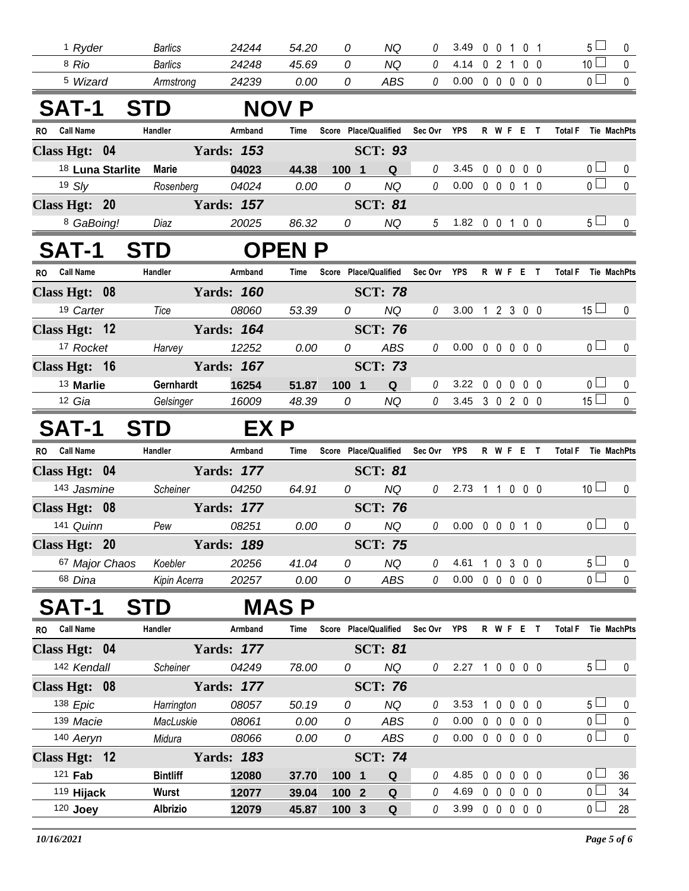| <sup>1</sup> Ryder            | <b>Barlics</b>  | 24244             | 54.20        | 0                     | NQ             | 0               | 3.49                       |  | 0 0 1 0 1 |                     | 5 <sub>1</sub>        | 0            |
|-------------------------------|-----------------|-------------------|--------------|-----------------------|----------------|-----------------|----------------------------|--|-----------|---------------------|-----------------------|--------------|
| 8 Rio                         | <b>Barlics</b>  | 24248             | 45.69        | 0                     | <b>NQ</b>      | 0               | 4.14                       |  | 0 2 1 0 0 |                     | 10 <sup>1</sup>       | 0            |
| <sup>5</sup> Wizard           | Armstrong       | 24239             | 0.00         | 0                     | <b>ABS</b>     | 0               | $0.00 \t0 \t0 \t0 \t0 \t0$ |  |           |                     | 0 <sub>0</sub>        | $\mathbf 0$  |
| <b>SAT-1</b>                  | <b>STD</b>      |                   | <b>NOV P</b> |                       |                |                 |                            |  |           |                     |                       |              |
| <b>Call Name</b><br><b>RO</b> | Handler         | Armband           | Time         | Score Place/Qualified |                | Sec Ovr YPS     |                            |  | R W F E T | Total F Tie MachPts |                       |              |
| Class Hgt: 04                 |                 | <b>Yards: 153</b> |              |                       | <b>SCT: 93</b> |                 |                            |  |           |                     |                       |              |
| <sup>18</sup> Luna Starlite   | <b>Marie</b>    | 04023             | 44.38        | 100 1                 | $\mathbf Q$    | $\theta$        | 3.45                       |  | 0 0 0 0 0 |                     | 0 <sub>0</sub>        | 0            |
| 19 S/y                        | Rosenberg       | 04024             | 0.00         | 0                     | <b>NQ</b>      | 0               | 0.00                       |  | 0 0 0 1 0 |                     | $\overline{0}$        | $\mathbf 0$  |
| Class Hgt: 20                 |                 | <b>Yards: 157</b> |              |                       | <b>SCT: 81</b> |                 |                            |  |           |                     |                       |              |
| 8 GaBoing!                    | Diaz            | 20025             | 86.32        | 0                     | NQ             | $5\overline{)}$ | 1.82 0 0 1 0 0             |  |           |                     | 5 <sub>1</sub>        | 0            |
| <b>SAT-1</b>                  | <b>STD</b>      |                   | <b>OPENP</b> |                       |                |                 |                            |  |           |                     |                       |              |
| RO Call Name                  | Handler         | Armband           | Time         | Score Place/Qualified |                | Sec Ovr         | YPS                        |  | R W F E T | Total F Tie MachPts |                       |              |
| Class Hgt: 08                 |                 | <b>Yards: 160</b> |              |                       | <b>SCT: 78</b> |                 |                            |  |           |                     |                       |              |
| 19 Carter                     | Tice            | 08060             | 53.39        | 0                     | <b>NQ</b>      | 0               | 3.00 1 2 3 0 0             |  |           |                     | 15 <sup>1</sup>       | $\mathbf 0$  |
| Class Hgt: 12                 |                 | <b>Yards: 164</b> |              |                       | <b>SCT: 76</b> |                 |                            |  |           |                     |                       |              |
| <sup>17</sup> Rocket          | Harvey          | 12252             | 0.00         | 0                     | <b>ABS</b>     | 0               | $0.00 \t0 \t0 \t0 \t0 \t0$ |  |           |                     | 0 <sub>0</sub>        | $\mathbf 0$  |
| Class Hgt: 16                 |                 | <b>Yards: 167</b> |              |                       | <b>SCT: 73</b> |                 |                            |  |           |                     |                       |              |
| 13 Marlie                     | Gernhardt       | 16254             | 51.87        | 100 1                 | $\mathbf Q$    | 0               | 3.22 0 0 0 0 0             |  |           |                     | 0 <sub>0</sub>        | 0            |
| 12 Gia                        | Gelsinger       | 16009             | 48.39        | 0                     | NQ             | $\theta$        | 3.45 3 0 2 0 0             |  |           |                     | 15 <sup>1</sup>       | $\mathbf 0$  |
| <b>SAT-1</b>                  | <b>STD</b>      | EX P              |              |                       |                |                 |                            |  |           |                     |                       |              |
| RO Call Name                  | Handler         | Armband           | Time         | Score Place/Qualified |                | Sec Ovr YPS     |                            |  | R W F E T | Total F Tie MachPts |                       |              |
| Class Hgt: 04                 |                 | <b>Yards: 177</b> |              |                       | <b>SCT: 81</b> |                 |                            |  |           |                     |                       |              |
| 143 Jasmine                   | Scheiner        | 04250             | 64.91        | 0                     | <b>NQ</b>      | $\theta$        | 2.73 1 1 0 0 0             |  |           |                     | 10 <sup>1</sup>       | $\mathbf{0}$ |
| Class Hgt: 08                 |                 | <b>Yards: 177</b> |              |                       | <b>SCT: 76</b> |                 |                            |  |           |                     |                       |              |
| 141 Quinn                     | Pew             | 08251             | 0.00         | 0                     | <b>NQ</b>      | 0               | $0.00 \t0 \t0 \t0 \t1 \t0$ |  |           |                     | $\overline{0}$ $\Box$ | $\mathbf 0$  |
| Class Hgt: 20                 |                 | <b>Yards: 189</b> |              |                       | <b>SCT: 75</b> |                 |                            |  |           |                     |                       |              |
| 67 Major Chaos                | Koebler         | 20256             | 41.04        | 0                     | NQ             | 0               | 4.61                       |  | 1 0 3 0 0 |                     | 5 <sub>1</sub>        | 0            |
| 68 Dina                       | Kipin Acerra    | 20257             | 0.00         | 0                     | ABS            | 0               | $0.00 \t0 \t0 \t0 \t0 \t0$ |  |           |                     | $\overline{0}$        | $\pmb{0}$    |
| SAT-1                         | STD             |                   | MAS P        |                       |                |                 |                            |  |           |                     |                       |              |
| <b>Call Name</b><br><b>RO</b> | Handler         | Armband           | <b>Time</b>  | Score Place/Qualified |                | Sec Ovr         | YPS                        |  | R W F E T | <b>Total F</b>      |                       | Tie MachPts  |
| Class Hgt: 04                 |                 | <b>Yards: 177</b> |              |                       | <b>SCT: 81</b> |                 |                            |  |           |                     |                       |              |
| 142 Kendall                   | Scheiner        | 04249             | 78.00        | 0                     | <b>NQ</b>      | 0               | 2.27 1 0 0 0 0             |  |           |                     | 5 <sub>1</sub>        | 0            |
| Class Hgt: 08                 |                 | <b>Yards: 177</b> |              |                       | <b>SCT: 76</b> |                 |                            |  |           |                     |                       |              |
| 138 Epic                      | Harrington      | 08057             | 50.19        | 0                     | <b>NQ</b>      | 0               | 3.53                       |  | 1 0 0 0 0 |                     | 5 <sub>1</sub>        | 0            |
| 139 Macie                     | MacLuskie       | 08061             | 0.00         | 0                     | <b>ABS</b>     | $\theta$        | 0.00                       |  | 00000     |                     | 0 <sub>1</sub>        | 0            |
| 140 Aeryn                     | Midura          | 08066             | 0.00         | 0                     | ABS            | 0               | $0.00 \t0 \t0 \t0 \t0 \t0$ |  |           |                     | 0 <sub>l</sub>        | $\mathbf 0$  |
| Class Hgt: 12                 |                 | <b>Yards: 183</b> |              |                       | <b>SCT: 74</b> |                 |                            |  |           |                     |                       |              |
| 121 <b>Fab</b>                | <b>Bintliff</b> | 12080             | 37.70        | 100 1                 | Q              | 0               | 4.85                       |  | 00000     |                     | 0 <sub>1</sub>        | 36           |
| 119 Hijack                    | <b>Wurst</b>    | 12077             | 39.04        | 100 2                 | $\mathbf Q$    | 0               | 4.69                       |  | 0 0 0 0 0 |                     | $_0$ $\Box$           | 34           |
| 120 Joey                      | <b>Albrizio</b> | 12079             | 45.87        | 100 <sub>3</sub>      | Q              | 0               | 3.99 0 0 0 0 0             |  |           |                     | 0 <sub>0</sub>        | 28           |
|                               |                 |                   |              |                       |                |                 |                            |  |           |                     |                       |              |